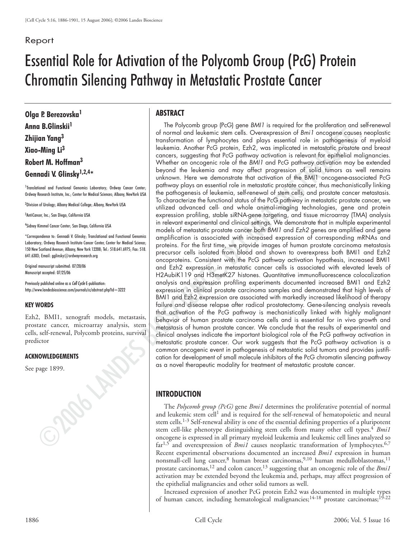# Report

# Essential Role for Activation of the Polycomb Group (PcG) Protein Chromatin Silencing Pathway in Metastatic Prostate Cancer

**Olga P. Berezovska<sup>1</sup> Anna B.Glinskii1 Zhijian Yang3 Xiao-Ming Li3 Robert M. Hoffman<sup>3</sup> Gennadi V. Glinsky1,2,4\***

<sup>1</sup>Translational and Functional Genomics Laboratory; Ordway Cancer Center; Ordway Research Institute, Inc.; Center for Medical Sciences; Albany, NewYork USA

2 Division of Urology; Albany Medical College; Albany, NewYork USA

3 AntiCancer, Inc.; San Diego, California USA

4 Sidney Kimmel Cancer Center; San Diego, California USA

\*Correspondence to: Gennadi V. Glinsky; Translational and Functional Genomics Laboratory; Ordway Research Institute Cancer Center, Center for Medical Science; 150 New Scotland Avenue; Albany, New York 12208; Tel.: 518.641.6975; Fax: 518. 641.6303; Email: gglinsky@ordwayresearch.org

Original manuscript submitted: 07/20/06 Manuscript accepted: 07/25/06

Previously published online as a *Cell Cycle* E-publication: http://www.landesbioscience.com/journals/cc/abstract.php?id=3222

#### **KEY WORDS**

Ezh2, BMI1, xenograft models, metastasis, prostate cancer, microarray analysis, stem cells, self-renewal, Polycomb proteins, survival predictor

#### **ACKNOWLEDGEMENTS**

See page 1899.

## **ABSTRACT**

**Example 2018**<br> **Example 2018**<br> **Example 2018**<br> **Example 2018**<br> **Example 2018**<br> **Example 2018**<br> **Example 2018**<br> **Example 2018**<br> **Example 2018**<br> **Example 2018**<br> **Example 2018**<br> **Example 2018**<br> **Example 2018**<br> **Example 2018** The Polycomb group (PcG) gene BMI1 is required for the proliferation and self-renewal of normal and leukemic stem cells. Overexpression of Bmi1 oncogene causes neoplastic transformation of lymphocytes and plays essential role in pathogenesis of myeloid leukemia. Another PcG protein, Ezh2, was implicated in metastatic prostate and breast cancers, suggesting that PcG pathway activation is relevant for epithelial malignancies. Whether an oncogenic role of the BMI1 and PcG pathway activation may be extended beyond the leukemia and may affect progression of solid tumors as well remains unknown. Here we demonstrate that activation of the BMI1 oncogene-associated PcG pathway plays an essential role in metastatic prostate cancer, thus mechanistically linking the pathogenesis of leukemia, self-renewal of stem cells, and prostate cancer metastasis. To characterize the functional status of the PcG pathway in metastatic prostate cancer, we utilized advanced cell- and whole animal-imaging technologies, gene and protein expression profiling, stable siRNA-gene targeting, and tissue microarray (TMA) analysis in relevant experimental and clinical settings. We demonstrate that in multiple experimental models of metastatic prostate cancer both BMI1 and Ezh2 genes are amplified and gene amplification is associated with increased expression of corresponding mRNAs and proteins. For the first time, we provide images of human prostate carcinoma metastasis precursor cells isolated from blood and shown to overexpress both BMI1 and Ezh2 oncoproteins. Consistent with the PcG pathway activation hypothesis, increased BMI1 and Ezh2 expression in metastatic cancer cells is associated with elevated levels of H2AubiK119 and H3metK27 histones. Quantitative immunofluorescence colocalization analysis and expression profiling experiments documented increased BMI1 and Ezh2 expression in clinical prostate carcinoma samples and demonstrated that high levels of BMI1 and Ezh2 expression are associated with markedly increased likelihood of therapy failure and disease relapse after radical prostatectomy. Gene-silencing analysis reveals that activation of the PcG pathway is mechanistically linked with highly malignant behavior of human prostate carcinoma cells and is essential for in vivo growth and metastasis of human prostate cancer. We conclude that the results of experimental and clinical analyses indicate the important biological role of the PcG pathway activation in metastatic prostate cancer. Our work suggests that the PcG pathway activation is a common oncogenic event in pathogenesis of metastatic solid tumors and provides justification for development of small molecule inhibitors of the PcG chromatin silencing pathway as a novel therapeutic modality for treatment of metastatic prostate cancer.

## **INTRODUCTION**

The *Polycomb group (PcG)* gene *Bmi1* determines the proliferative potential of normal and leukemic stem cell<sup>1</sup> and is required for the self-renewal of hematopoietic and neural stem cells.<sup>1-3</sup> Self-renewal ability is one of the essential defining properties of a pluripotent stem cell-like phenotype distinguishing stem cells from many other cell types.<sup>4</sup> *Bmi1* oncogene is expressed in all primary myeloid leukemia and leukemic cell lines analyzed so  $far<sup>1,5</sup>$  and overexpression of *Bmi1* causes neoplastic transformation of lymphocytes.<sup>6,7</sup> Recent experimental observations documented an increased *Bmi1* expression in human nonsmall-cell lung cancer,<sup>8</sup> human breast carcinomas,<sup>9,10</sup> human medulloblastomas,<sup>11</sup> prostate carcinomas,12 and colon cancer,13 suggesting that an oncogenic role of the *Bmi1* activation may be extended beyond the leukemia and, perhaps, may affect progression of the epithelial malignancies and other solid tumors as well.

Increased expression of another PcG protein Ezh2 was documented in multiple types of human cancer, including hematological malignancies;<sup>14-18</sup> prostate carcinomas;<sup>15-22</sup>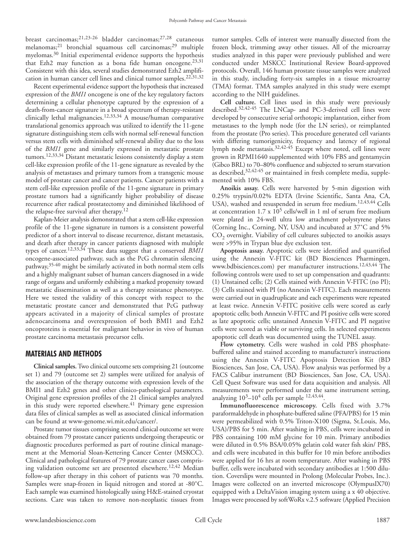breast carcinomas;21,23-26 bladder carcinomas;27,28 cutaneous melanomas;<sup>21</sup> bronchial squamous cell carcinomas;<sup>29</sup> multiple myelomas.30 Initial experimental evidence supports the hypothesis that Ezh2 may function as a bona fide human oncogene.<sup>23,31</sup> Consistent with this idea, several studies demonstrated Ezh2 amplification in human cancer cell lines and clinical tumor samples.22,31,32

Recent experimental evidence support the hypothesis that increased expression of the *BMI1* oncogene is one of the key regulatory factors determining a cellular phenotype captured by the expression of a death-from-cancer signature in a broad spectrum of therapy-resistant clinically lethal malignancies.12,33,34 A mouse/human comparative translational genomics approach was utilized to identify the 11-gene signature distinguishing stem cells with normal self-renewal function versus stem cells with diminished self-renewal ability due to the loss of the *BMI1* gene and similarly expressed in metastatic prostate tumors.12,33,34 Distant metastatic lesions consistently display a stem cell-like expression profile of the 11-gene signature as revealed by the analysis of metastases and primary tumors from a transgenic mouse model of prostate cancer and cancer patients. Cancer patients with a stem cell-like expression profile of the 11-gene signature in primary prostate tumors had a significantly higher probability of disease recurrence after radical prostatectomy and diminished likelihood of the relapse-free survival after therapy.12

Kaplan-Meier analysis demonstrated that a stem cell-like expression profile of the 11-gene signature in tumors is a consistent powerful predictor of a short interval to disease recurrence, distant metastasis, and death after therapy in cancer patients diagnosed with multiple types of cancer.12,33,34 These data suggest that a conserved *BMI1* oncogene-associated pathway, such as the PcG chromatin silencing pathway,35-40 might be similarly activated in both normal stem cells and a highly malignant subset of human cancers diagnosed in a wide range of organs and uniformly exhibiting a marked propensity toward metastatic dissemination as well as a therapy resistance phenotype. Here we tested the validity of this concept with respect to the metastatic prostate cancer and demonstrated that PcG pathway appears activated in a majority of clinical samples of prostate adenocarcinoma and overexpression of both BMI1 and Ezh2 oncoproteins is essential for malignant behavior in vivo of human prostate carcinoma metastasis precursor cells.

#### **MATERIALS AND METHODS**

**Clinical samples.**Two clinical outcome sets comprising 21 (outcome set 1) and 79 (outcome set 2) samples were utilized for analysis of the association of the therapy outcome with expression levels of the BMI1 and Ezh2 genes and other clinico-pathological parameters. Original gene expression profiles of the 21 clinical samples analyzed in this study were reported elsewhere.<sup>41</sup> Primary gene expression data files of clinical samples as well as associated clinical information can be found at www-genome.wi.mit.edu/cancer/.

Prostate tumor tissues comprising second clinical outcome set were obtained from 79 prostate cancer patients undergoing therapeutic or diagnostic procedures performed as part of routine clinical management at the Memorial Sloan-Kettering Cancer Center (MSKCC). Clinical and pathological features of 79 prostate cancer cases comprising validation outcome set are presented elsewhere.<sup>12,42</sup> Median follow-up after therapy in this cohort of patients was 70 months. Samples were snap-frozen in liquid nitrogen and stored at -80˚C. Each sample was examined histologically using H&E-stained cryostat sections. Care was taken to remove non-neoplastic tissues from tumor samples. Cells of interest were manually dissected from the frozen block, trimming away other tissues. All of the microarray studies analyzed in this paper were previously published and were conducted under MSKCC Institutional Review Board-approved protocols. Overall, 146 human prostate tissue samples were analyzed in this study, including forty-six samples in a tissue microarray (TMA) format. TMA samples analyzed in this study were exempt according to the NIH guidelines.

**Cell culture.** Cell lines used in this study were previously described.32,42-45 The LNCap- and PC-3-derived cell lines were developed by consecutive serial orthotopic implantation, either from metastases to the lymph node (for the LN series), or reimplanted from the prostate (Pro series). This procedure generated cell variants with differing tumorigenicity, frequency and latency of regional lymph node metastasis.32,42-45 Except where noted, cell lines were grown in RPMI1640 supplemented with 10% FBS and gentamycin (Gibco BRL) to 70–80% confluence and subjected to serum starvation as described, 32, 42-45 or maintained in fresh complete media, supplemented with 10% FBS.

**Anoikis assay.** Cells were harvested by 5-min digestion with 0.25% trypsin/0.02% EDTA (Irvine Scientific, Santa Ana, CA, USA), washed and resuspended in serum free medium.<sup>12,43,44</sup> Cells at concentration  $1.7 \times 10^5$  cells/well in 1 ml of serum free medium were plated in 24-well ultra low attachment polystyrene plates (Corning Inc., Corning, NY, USA) and incubated at 37˚C and 5% CO<sub>2</sub> overnight. Viability of cell cultures subjected to anoikis assays were >95% in Trypan blue dye exclusion test.

**Apoptosis assay.** Apoptotic cells were identified and quantified using the Annexin V-FITC kit (BD Biosciences Pharmingen, www.bdbisciences.com) per manufacturer instructions.12,43,44 The following controls were used to set up compensation and quadrants: (1) Unstained cells; (2) Cells stained with Annexin V-FITC (no PI); (3) Cells stained with PI (no Annexin V-FITC). Each measurements were carried out in quadruplicate and each experiments were repeated at least twice. Annexin V-FITC positive cells were scored as early apoptotic cells; both Annexin V-FITC and PI positive cells were scored as late apoptotic cells; unstained Annexin V-FITC and PI negative cells were scored as viable or surviving cells. In selected experiments apoptotic cell death was documented using the TUNEL assay.

**Flow cytometry.** Cells were washed in cold PBS phosphatebuffered saline and stained according to manufacturer's instructions using the Annexin V-FITC Apoptosis Detection Kit (BD Biosciences, San Jose, CA, USA). Flow analysis was performed by a FACS Calibur instrument (BD Biosciences, San Jose, CA, USA). Cell Quest Software was used for data acquisition and analysis. All measurements were performed under the same instrument setting, analyzing 103–104 cells per sample 12,43,44.

**Immunofluorescence microscopy.** Cells fixed with 3.7% paraformaldehyde in phosphate-buffered saline (PFA/PBS) for 15 min were permeabilized with 0.5% Triton-X100 (Sigma, St.Louis, Mo, USA)/PBS for 5 min. After washing in PBS, cells were incubated in PBS containing 100 mM glycine for 10 min. Primary antibodies were diluted in 0.5% BSA/0.05% gelatin cold water fish skin/ PBS, and cells were incubated in this buffer for 10 min before antibodies were applied for 16 hrs at room temperature. After washing in PBS buffer, cells were incubated with secondary antibodies at 1:500 dilution. Coverslips were mounted in Prolong (Molecular Probes, Inc.). Images were collected on an inverted microscope (OlympusIX70) equipped with a DeltaVision imaging system using a x 40 objective. Images were processed by softWoRx v.2.5 software (Applied Precision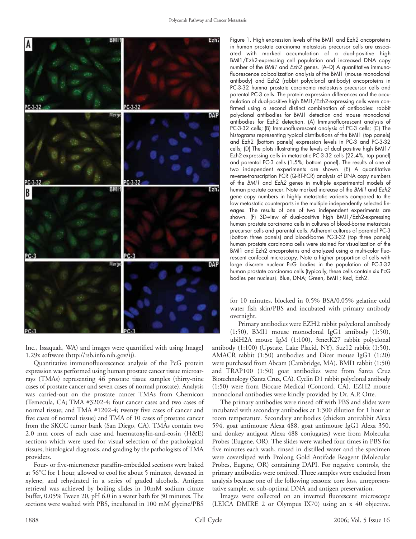

Inc., Issaquah, WA) and images were quantified with using ImageJ 1.29x software (http://rsb.info.nih.gov/ij).

Quantitative immunofluorescence analysis of the PcG protein expression was performed using human prostate cancer tissue microarrays (TMAs) representing 46 prostate tissue samples (thirty-nine cases of prostate cancer and seven cases of normal prostate). Analysis was carried-out on the prostate cancer TMAs from Chemicon (Temecula, CA; TMA #3202-4; four cancer cases and two cases of normal tissue; and TMA #1202-4; twenty five cases of cancer and five cases of normal tissue) and TMA of 10 cases of prostate cancer from the SKCC tumor bank (San Diego, CA). TMAs contain two 2.0 mm cores of each case and haematoxylin-and-eosin (H&E) sections which were used for visual selection of the pathological tissues, histological diagnosis, and grading by the pathologists of TMA providers.

Four- or five-micrometer paraffin-embedded sections were baked at 56˚C for 1 hour, allowed to cool for about 5 minutes, dewaxed in xylene, and rehydrated in a series of graded alcohols. Antigen retrieval was achieved by boiling slides in 10mM sodium citrate buffer, 0.05% Tween 20, pH 6.0 in a water bath for 30 minutes. The sections were washed with PBS, incubated in 100 mM glycine/PBS Figure 1. High expression levels of the BMI1 and Ezh2 oncoproteins in human prostate carcinoma metastasis precursor cells are associated with marked accumulation of a dual-positive high BMI1/Ezh2-expressing cell population and increased DNA copy number of the BMI1 and Ezh2 genes. (A-D) A quantitative immunofluorescence colocalization analysis of the BMI1 (mouse monoclonal antibody) and Ezh2 (rabbit polyclonal antibody) oncoproteins in PC-3-32 humna prostate carcinoma metastasis precursor cells and parental PC-3 cells. The protein expression differences and the accumulation of dual-positive high BMI1/Ezh2-expressing cells were confirmed using a second distinct combination of antibodies: rabbit polyclonal antibodies for BMI1 detection and mouse monoclonal antibodies for Ezh2 detection. (A) Immunofluorescent analysis of PC-3-32 cells; (B) Immunofluorescent analysis of PC-3 cells; (C) The histograms representing typical distributions of the BMI1 (top panels) and Ezh2 (bottom panels) expression levels in PC-3 and PC-3-32 cells; (D) The plots illustrating the levels of dual positive high BMI1/ Ezh2-expressing cells in metastatic PC-3-32 cells (22.4%; top panel) and parental PC-3 cells (1.5%; bottom panel). The results of one of two independent experiments are shown. (E) A quantitative reverse-transcription PCR (Q-RT-PCR) analysis of DNA copy numbers of the BMI1 and Ezh2 genes in multiple experimental models of human prostate cancer. Note marked increase of the BMI1 and Ezh2 gene copy numbers in highly metastatic variants compared to the low metastatic counterparts in the multiple independently selected lineages. The results of one of two independent experiments are shown. (F) 3D-view of dual-positive high BMI1/Ezh2-expressing human prostate carcinoma cells in cultures of blood-borne metastasis precursor cells and parental cells. Adherent cultures of parental PC-3 (bottom three panels) and blood-borne PC-3-32 (top three panels) human prostate carcinoma cells were stained for visualization of the BMI1 and Ezh2 oncoproteins and analyzed using a multi-color fluorescent confocal microscopy. Note a higher proportion of cells with large discrete nuclear PcG bodies in the population of PC-3-32 human prostate carcinoma cells (typically, these cells contain six PcG bodies per nucleus). Blue, DNA; Green, BMI1; Red, Ezh2.

for 10 minutes, blocked in 0.5% BSA/0.05% gelatine cold water fish skin/PBS and incubated with primary antibody overnight.

Primary antibodies were EZH2 rabbit polyclonal antibody (1:50), BMI1 mouse monoclonal IgG1 antibody (1:50),

ubiH2A mouse IgM (1:100), 3metK27 rabbit polyclonal antibody (1:100) (Upstate, Lake Placid, NY). Suz12 rabbit (1:50), AMACR rabbit (1:50) antibodies and Dicer mouse IgG1 (1:20) were purchased from Abcam (Cambridge, MA). BMI1 rabbit (1:50) and TRAP100 (1:50) goat antibodies were from Santa Cruz Biotechnology (Santa Cruz, CA). Cyclin D1 rabbit polyclonal antibody (1:50) were from Biocare Medical (Concord, CA). EZH2 mouse monoclonal antibodies were kindly provided by Dr. A.P. Otte.

The primary antibodies were rinsed off with PBS and slides were incubated with secondary antibodies at 1:300 dilution for 1 hour at room temperature. Secondary antibodies (chicken antirabbit Alexa 594, goat antimouse Alexa 488, goat antimouse IgG1 Alexa 350, and donkey antigoat Alexa 488 conjugates) were from Molecular Probes (Eugene, OR). The slides were washed four times in PBS for five minutes each wash, rinsed in distilled water and the specimen were coversliped with Prolong Gold Antifade Reagent (Molecular Probes, Eugene, OR) containing DAPI. For negative controls, the primary antibodies were omitted. Three samples were excluded from analysis because one of the following reasons: core loss, unrepresentative sample, or sub-optimal DNA and antigen preservation.

Images were collected on an inverted fluorescent microscope (LEICA DMIRE 2 or Olympus IX70) using an x 40 objective.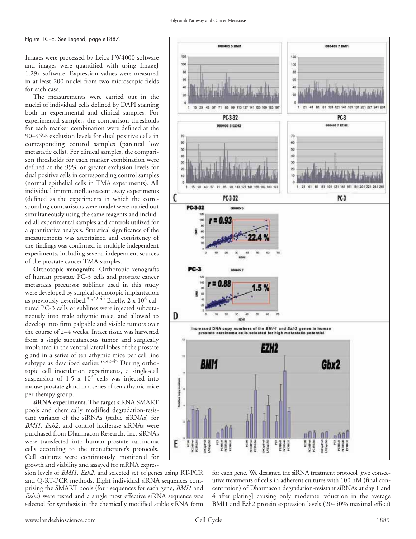Figure 1C–E. See Legend, page e1887.

Images were processed by Leica FW4000 software and images were quantified with using ImageJ 1.29x software. Expression values were measured in at least 200 nuclei from two microscopic fields for each case.

The measurements were carried out in the nuclei of individual cells defined by DAPI staining both in experimental and clinical samples. For experimental samples, the comparison thresholds for each marker combination were defined at the 90–95% exclusion levels for dual positive cells in corresponding control samples (parental low metastatic cells). For clinical samples, the comparison thresholds for each marker combination were defined at the 99% or greater exclusion levels for dual positive cells in corresponding control samples (normal epithelial cells in TMA experiments). All individual immmunofluorescent assay experiments (defined as the experiments in which the corresponding comparisons were made) were carried out simultaneously using the same reagents and included all experimental samples and controls utilized for a quantitative analysis. Statistical significance of the measurements was ascertained and consistency of the findings was confirmed in multiple independent experiments, including several independent sources of the prostate cancer TMA samples.

**Orthotopic xenografts.** Orthotopic xenografts of human prostate PC-3 cells and prostate cancer metastasis precursor sublines used in this study were developed by surgical orthotopic implantation as previously described.32,42-45 Briefly, 2 x 10<sup>6</sup> cultured PC-3 cells or sublines were injected subcutaneously into male athymic mice, and allowed to develop into firm palpable and visible tumors over the course of 2–4 weeks. Intact tissue was harvested from a single subcutaneous tumor and surgically implanted in the ventral lateral lobes of the prostate gland in a series of ten athymic mice per cell line subtype as described earlier.<sup>32,42-45</sup> During orthotopic cell inoculation experiments, a single-cell suspension of  $1.5 \times 10^6$  cells was injected into mouse prostate gland in a series of ten athymic mice per therapy group.

**siRNA experiments.** The target siRNA SMART pools and chemically modified degradation-resistant variants of the siRNAs (stable siRNAs) for *BMI1, Ezh2*, and control luciferase siRNAs were purchased from Dharmacon Research, Inc. siRNAs were transfected into human prostate carcinoma cells according to the manufacturer's protocols. Cell cultures were continuously monitored for growth and viability and assayed for mRNA expres-

sion levels of *BMI1, Ezh2*, and selected set of genes using RT-PCR and Q-RT-PCR methods. Eight individual siRNA sequences comprising the SMART pools (four sequences for each gene, *BMI1* and *Ezh2*) were tested and a single most effective siRNA sequence was selected for synthesis in the chemically modified stable siRNA form



for each gene. We designed the siRNA treatment protocol [two consecutive treatments of cells in adherent cultures with 100 nM (final concentration) of Dharmacon degradation-resistant siRNAs at day 1 and 4 after plating] causing only moderate reduction in the average BMI1 and Ezh2 protein expression levels (20–50% maximal effect)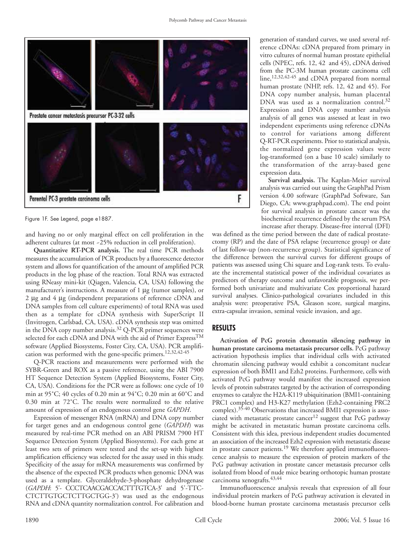

Figure 1F. See Legend, page e1887.

and having no or only marginal effect on cell proliferation in the adherent cultures (at most ~25% reduction in cell proliferation).

**Quantitative RT-PCR analysis.** The real time PCR methods measures the accumulation of PCR products by a fluorescence detector system and allows for quantification of the amount of amplified PCR products in the log phase of the reaction. Total RNA was extracted using RNeasy mini-kit (Qiagen, Valencia, CA, USA) following the manufacturer's instructions. A measure of 1 μg (tumor samples), or 2 μg and 4 μg (independent preparations of reference cDNA and DNA samples from cell culture experiments) of total RNA was used then as a template for cDNA synthesis with SuperScript II (Invitrogen, Carlsbad, CA, USA). cDNA synthesis step was omitted in the DNA copy number analysis.<sup>32</sup> Q-PCR primer sequences were selected for each cDNA and DNA with the aid of Primer Express<sup>TM</sup> software (Applied Biosystems, Foster City, CA, USA). PCR amplification was performed with the gene-specific primers.12,32,42-45

Q-PCR reactions and measurements were performed with the SYBR-Green and ROX as a passive reference, using the ABI 7900 HT Sequence Detection System (Applied Biosystems, Foster City, CA, USA). Conditions for the PCR were as follows: one cycle of 10 min at 95˚C; 40 cycles of 0.20 min at 94˚C; 0.20 min at 60˚C and 0.30 min at 72˚C. The results were normalized to the relative amount of expression of an endogenous control gene *GAPDH*.

Expression of messenger RNA (mRNA) and DNA copy number for target genes and an endogenous control gene (*GAPDH*) was measured by real-time PCR method on an ABI PRISM 7900 HT Sequence Detection System (Applied Biosystems). For each gene at least two sets of primers were tested and the set-up with highest amplification efficiency was selected for the assay used in this study. Specificity of the assay for mRNA measurements was confirmed by the absence of the expected PCR products when genomic DNA was used as a template. Glyceraldehyde-3-phosphate dehydrogenase (*GAPDH*: 5'- CCCTCAACGACCACTTTGTCA-3' and 5'-TTC-CTCTTGTGCTCTTGCTGG-3') was used as the endogenous RNA and cDNA quantity normalization control. For calibration and

generation of standard curves, we used several reference cDNAs: cDNA prepared from primary in vitro cultures of normal human prostate epithelial cells (NPEC, refs. 12, 42 and 45), cDNA derived from the PC-3M human prostate carcinoma cell line,12,32,42-45 and cDNA prepared from normal human prostate (NHP, refs. 12, 42 and 45). For DNA copy number analysis, human placental DNA was used as a normalization control.<sup>32</sup> Expression and DNA copy number analysis analysis of all genes was assessed at least in two independent experiments using reference cDNAs to control for variations among different Q-RT-PCR experiments. Prior to statistical analysis, the normalized gene expression values were log-transformed (on a base 10 scale) similarly to the transformation of the array-based gene expression data.

**Survival analysis.** The Kaplan-Meier survival analysis was carried out using the GraphPad Prism version 4.00 software (GraphPad Software, San Diego, CA; www.graphpad.com). The end point for survival analysis in prostate cancer was the biochemical recurrence defined by the serum PSA increase after therapy. Disease-free interval (DFI)

was defined as the time period between the date of radical prostatectomy (RP) and the date of PSA relapse (recurrence group) or date of last follow-up (non-recurrence group). Statistical significance of the difference between the survival curves for different groups of patients was assessed using Chi square and Log-rank tests. To evaluate the incremental statistical power of the individual covariates as predictors of therapy outcome and unfavorable prognosis, we performed both univariate and multivariate Cox proportional hazard survival analyses. Clinico-pathological covariates included in this analysis were: preoperative PSA, Gleason score, surgical margins, extra-capsular invasion, seminal vesicle invasion, and age.

### **RESULTS**

**Activation of PcG protein chromatin silencing pathway in human prostate carcinoma metastasis precursor cells.** PcG pathway activation hypothesis implies that individual cells with activated chromatin silencing pathway would exhibit a concomitant nuclear expression of both BMI1 and Ezh2 proteins. Furthermore, cells with activated PcG pathway would manifest the increased expression levels of protein substrates targeted by the activation of corresponding enzymes to catalyze the H2A-K119 ubiquitination (BMI1-containing PRC1 complex) and H3-K27 methylation (Ezh2-containing PRC2 complex).35-40 Observations that increased BMI1 expression is associated with metastatic prostate cancer<sup>12</sup> suggest that PcG pathway might be activated in metastatic human prostate carcinoma cells. Consistent with this idea, previous independent studies documented an association of the increased Ezh2 expression with metastatic disease in prostate cancer patients.<sup>19</sup> We therefore applied immunofluorescence analysis to measure the expression of protein markers of the PcG pathway activation in prostate cancer metastasis precursor cells isolated from blood of nude mice bearing orthotopic human prostate carcinoma xenografts.<sup>43,44</sup>

Immunofluorescence analysis reveals that expression of all four individual protein markers of PcG pathway activation is elevated in blood-borne human prostate carcinoma metastasis precursor cells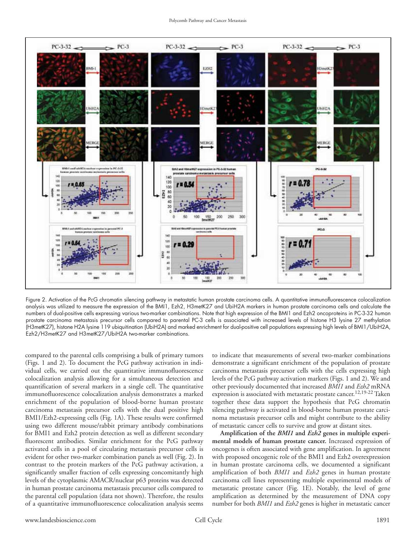

Figure 2. Activation of the PcG chromatin silencing pathway in metastatic human prostate carcinoma cells. A quantitative immunofluorescence colocalization analysis was utilized to measure the expression of the BMI1, Ezh2, H3metK27 and UbiH2A markers in human prostate carcinoma cells and calculate the numbers of dual-positive cells expressing various two-marker combinations. Note that high expression of the BMI1 and Ezh2 oncoproteins in PC-3-32 human prostate carcinoma metastasis precursor cells compared to parental PC-3 cells is associated with increased levels of histone H3 lysine 27 methylation (H3metK27), histone H2A lysine 119 ubiquitination (UbiH2A) and marked enrichment for dual-positive cell populations expressing high levels of BMI1/UbiH2A, Ezh2/H3metK27 and H3metK27/UbiH2A two-marker combinations.

compared to the parental cells comprising a bulk of primary tumors (Figs. 1 and 2). To document the PcG pathway activation in individual cells, we carried out the quantitative immunofluorescence colocalization analysis allowing for a simultaneous detection and quantification of several markers in a single cell. The quantitative immunofluorescence colocalization analysis demonstrates a marked enrichment of the population of blood-borne human prostate carcinoma metastasis precursor cells with the dual positive high BMI1/Ezh2-expressing cells (Fig. 1A). These results were confirmed using two different mouse/rabbit primary antibody combinations for BMI1 and Ezh2 protein detection as well as different secondary fluorescent antibodies. Similar enrichment for the PcG pathway activated cells in a pool of circulating metastasis precursor cells is evident for other two-marker combination panels as well (Fig. 2). In contrast to the protein markers of the PcG pathway activation, a significantly smaller fraction of cells expressing concomitantly high levels of the cytoplasmic AMACR/nuclear p63 proteins was detected in human prostate carcinoma metastasis precursor cells compared to the parental cell population (data not shown). Therefore, the results of a quantitative immunofluorescence colocalization analysis seems to indicate that measurements of several two-marker combinations demonstrate a significant enrichment of the population of prostate carcinoma metastasis precursor cells with the cells expressing high levels of the PcG pathway activation markers (Figs. 1 and 2). We and other previously documented that increased *BMI1* and *Ezh2* mRNA expression is associated with metastatic prostate cancer.<sup>12,19-22</sup> Taken together these data support the hypothesis that PcG chromatin silencing pathway is activated in blood-borne human prostate carcinoma metastasis precursor cells and might contribute to the ability of metastatic cancer cells to survive and grow at distant sites.

**Amplification of the** *BMI1* **and** *Ezh2* **genes in multiple experimental models of human prostate cancer.** Increased expression of oncogenes is often associated with gene amplification. In agreement with proposed oncogenic role of the BMI1 and Ezh2 overexpression in human prostate carcinoma cells, we documented a significant amplification of both *BMI1* and *Ezh2* genes in human prostate carcinoma cell lines representing multiple experimental models of metastatic prostate cancer (Fig. 1E). Notably, the level of gene amplification as determined by the measurement of DNA copy number for both *BMI1* and *Ezh2* genes is higher in metastatic cancer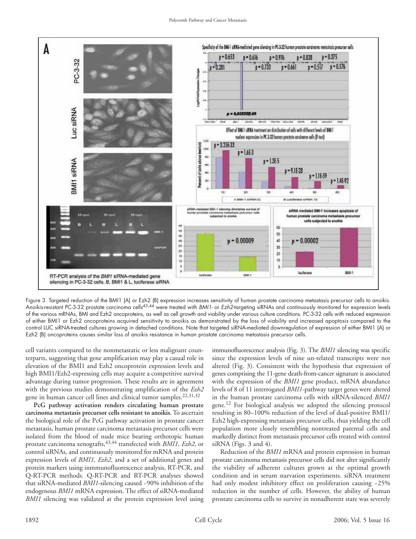

Figure 3. Targeted reduction of the BMI1 (A) or Ezh2 (B) expression increases sensitivity of human prostate carcinoma metastasis precursor cells to anoikis. Anoikis-resistant PC-3-32 prostate carcinoma cells43,44 were treated with BMI1- or Ezh2-targeting siRNAs and continuously monitored for expression levels of the various mRNAs, BMI and Ezh2 oncoproteins, as well as cell growth and viability under various culture conditions. PC-3-32 cells with reduced expression of either BMI1 or Ezh2 oncoproteins acquired sensitivity to anoikis as demonstrated by the loss of viability and increased apoptosis compared to the control LUC siRNA-treated cultures growing in detached conditions. Note that targeted siRNA-mediated downregulation of expression of either BMI1 (A) or Ezh2 (B) oncoproteins causes similar loss of anoikis resistance in human prostate carcinoma metastasis precursor cells.

cell variants compared to the nonmetastatic or less malignant counterparts, suggesting that gene amplification may play a casual role in elevation of the BMI1 and Ezh2 oncoprotein expression levels and high BMI1/Ezh2-expressing cells may acquire a competitive survival advantage during tumor progression. These results are in agreement with the previous studies demonstrating amplification of the *Ezh2* gene in human cancer cell lines and clinical tumor samples.<sup>22,31,32</sup>

**PcG pathway activation renders circulating human prostate carcinoma metastasis precursor cells resistant to anoikis.**To ascertain the biological role of the PcG pathway activation in prostate cancer metastasis, human prostate carcinoma metastasis precursor cells were isolated from the blood of nude mice bearing orthotopic human prostate carcinoma xenografts,43,44 transfected with *BMI1, Ezh2*, or control siRNAs, and continuously monitored for mRNA and protein expression levels of *BMI1, Ezh2*, and a set of additional genes and protein markers using inmmunofluorescence analysis, RT-PCR, and Q-RT-PCR methods. Q-RT-PCR and RT-PCR analyses showed that siRNA-mediated *BMI1*-silencing caused ~90% inhibition of the endogenous *BMI1* mRNA expression. The effect of siRNA-mediated *BMI1* silencing was validated at the protein expression level using immunofluorescence analysis (Fig. 3). The *BMI1* silencing was specific since the expression levels of nine un-related transcripts were not altered (Fig. 3). Consistent with the hypothesis that expression of genes comprising the 11-gene death-from-cancer signature is associated with the expression of the *BMI1* gene product, mRNA abundance levels of 8 of 11 interrogated *BMI1*-pathway target genes were altered in the human prostate carcinoma cells with siRNA-silenced *BMI1* gene.<sup>12</sup> For biological analysis we adopted the silencing protocol resulting in 80–100% reduction of the level of dual-positive BMI1/ Ezh2 high-expressing metastasis precursor cells, thus yielding the cell population more closely resembling nontreated parental cells and markedly distinct from metastasis precursor cells treated with control siRNA (Figs. 3 and 4).

Reduction of the *BMI1* mRNA and protein expression in human prostate carcinoma metastasis precursor cells did not alter significantly the viability of adherent cultures grown at the optimal growth condition and in serum starvation experiments. siRNA treatment had only modest inhibitory effect on proliferation causing ~25% reduction in the number of cells. However, the ability of human prostate carcinoma cells to survive in nonadherent state was severely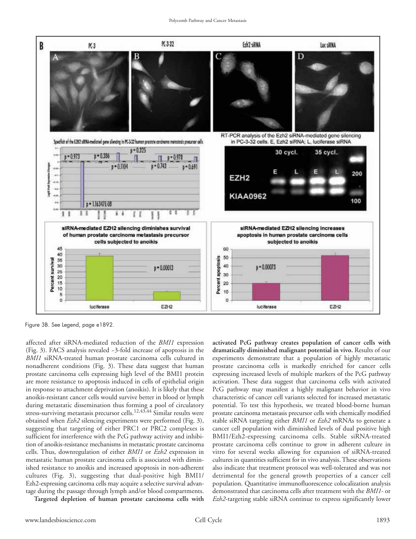

Figure 3B. See Legend, page e1892.

affected after siRNA-mediated reduction of the *BMI1* expression (Fig. 3). FACS analysis revealed ~3-fold increase of apoptosis in the *BMI1* siRNA-treated human prostate carcinoma cells cultured in nonadherent conditions (Fig. 3). These data suggest that human prostate carcinoma cells expressing high level of the BMI1 protein are more resistance to apoptosis induced in cells of epithelial origin in response to attachment deprivation (anoikis). It is likely that these anoikis-resistant cancer cells would survive better in blood or lymph during metastatic dissemination thus forming a pool of circulatory stress-surviving metastasis precursor cells.<sup>12,43,44</sup> Similar results were obtained when *Ezh2* silencing experiments were performed (Fig. 3), suggesting that targeting of either PRC1 or PRC2 complexes is sufficient for interference with the PcG pathway activity and inhibition of anoikis-resistance mechanisms in metastatic prostate carcinoma cells. Thus, downregulation of either *BMI1* or *Ezh2* expression in metastatic human prostate carcinoma cells is associated with diminished resistance to anoikis and increased apoptosis in non-adherent cultures (Fig. 3), suggesting that dual-positive high BMI1/ Ezh2-expressing carcinoma cells may acquire a selective survival advantage during the passage through lymph and/or blood compartments.

**Targeted depletion of human prostate carcinoma cells with**

**activated PcG pathway creates population of cancer cells with dramatically diminished malignant potential in vivo.** Results of our experiments demonstrate that a population of highly metastatic prostate carcinoma cells is markedly enriched for cancer cells expressing increased levels of multiple markers of the PcG pathway activation. These data suggest that carcinoma cells with activated PcG pathway may manifest a highly malignant behavior in vivo characteristic of cancer cell variants selected for increased metastatic potential. To test this hypothesis, we treated blood-borne human prostate carcinoma metastasis precursor cells with chemically modified stable siRNA targeting either *BMI1* or *Ezh2* mRNAs to generate a cancer cell population with diminished levels of dual positive high BMI1/Ezh2-expressing carcinoma cells. Stable siRNA-treated prostate carcinoma cells continue to grow in adherent culture in vitro for several weeks allowing for expansion of siRNA-treated cultures in quantities sufficient for in vivo analysis. These observations also indicate that treatment protocol was well-tolerated and was not detrimental for the general growth properties of a cancer cell population. Quantitative immunofluorescence colocalization analysis demonstrated that carcinoma cells after treatment with the *BMI1*- or *Ezh2*-targeting stable siRNA continue to express significantly lower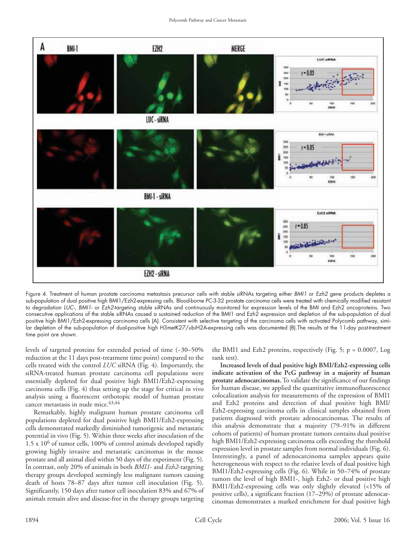

Figure 4. Treatment of human prostate carcinoma metastasis precursor cells with stable siRNAs targeting either BMI1 or Ezh2 gene products depletes a sub-population of dual positive high BMI1/Ezh2-expressing cells. Blood-borne PC-3-32 prostate carcinoma cells were treated with chemically modified resistant to degradation LUC-, BMI1- or Ezh2-targeting stable siRNAs and continuously monitored for expression levels of the BMI and Ezh2 oncoproteins. Two consecutive applications of the stable siRNAs caused a sustained reduction of the BMI1 and Ezh2 expression and depletion of the sub-population of dual positive high BMI1/Ezh2-expressing carcinoma cells (A). Consistent with selective targeting of the carcinoma cells with activated Polycomb pathway, similar depletion of the sub-population of dual-positive high H3metK27/ubiH2A-expressing cells was documented (B).The results at the 11-day post-treatment time point are shown.

levels of targeted proteins for extended period of time (~30–50% reduction at the 11 days post-treatment time point) compared to the cells treated with the control *LUC* siRNA (Fig. 4). Importantly, the siRNA-treated human prostate carcinoma cell populations were essentially depleted for dual positive high BMI1/Ezh2-expressing carcinoma cells (Fig. 4) thus setting up the stage for critical in vivo analysis using a fluorescent orthotopic model of human prostate cancer metastasis in nude mice.<sup>43,44</sup>

Remarkably, highly malignant human prostate carcinoma cell populations depleted for dual positive high BMI1/Ezh2-expressing cells demonstrated markedly diminished tumorigenic and metastatic potential in vivo (Fig. 5). Within three weeks after inoculation of the  $1.5 \times 10^6$  of tumor cells, 100% of control animals developed rapidly growing highly invasive and metastatic carcinomas in the mouse prostate and all animal died within 50 days of the experiment (Fig. 5). In contrast, only 20% of animals in both *BMI1*- and *Ezh2*-targeting therapy groups developed seemingly less malignant tumors causing death of hosts 78–87 days after tumor cell inoculation (Fig. 5). Significantly, 150 days after tumor cell inoculation 83% and 67% of animals remain alive and disease-free in the therapy groups targeting

the BMI1 and Ezh2 proteins, respectively (Fig. 5;  $p = 0.0007$ , Log rank test).

**Increased levels of dual positive high BMI/Ezh2-expressing cells indicate activation of the PcG pathway in a majority of human prostate adenocarcinomas.**To validate the significance of our findings for human disease, we applied the quantitative immunofluorescence colocalization analysis for measurements of the expression of BMI1 and Ezh2 proteins and detection of dual positive high BMI/ Ezh2-expressing carcinoma cells in clinical samples obtained from patients diagnosed with prostate adenocarcinomas. The results of this analysis demonstrate that a majority (79–91% in different cohorts of patients) of human prostate tumors contains dual positive high BMI1/Ezh2-expressing carcinoma cells exceeding the threshold expression level in prostate samples from normal individuals (Fig. 6). Interestingly, a panel of adenocarcinoma samples appears quite heterogeneous with respect to the relative levels of dual positive high BMI1/Ezh2-expressing cells (Fig. 6). While in 50–74% of prostate tumors the level of high BMI1-, high Ezh2- or dual positive high BMI1/Ezh2-expressing cells was only slightly elevated (<15% of positive cells), a significant fraction (17–29%) of prostate adenocarcinomas demonstrates a marked enrichment for dual positive high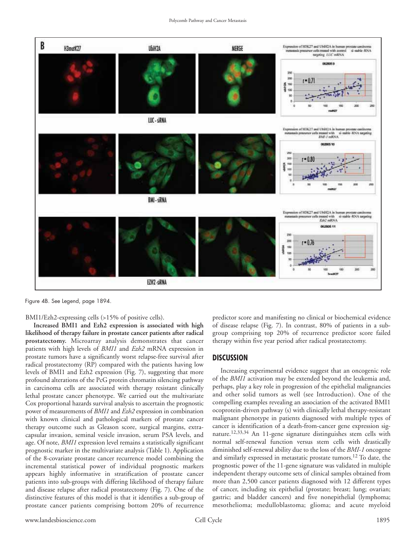

Figure 4B. See Legend, page 1894.

BMI1/Ezh2-expressing cells (>15% of positive cells).

**Increased BMI1 and Ezh2 expression is associated with high likelihood of therapy failure in prostate cancer patients after radical prostatectomy.** Microarray analysis demonstrates that cancer patients with high levels of *BMI1* and *Ezh2* mRNA expression in prostate tumors have a significantly worst relapse-free survival after radical prostatectomy (RP) compared with the patients having low levels of BMI1 and Ezh2 expression (Fig. 7), suggesting that more profound alterations of the PcG protein chromatin silencing pathway in carcinoma cells are associated with therapy resistant clinically lethal prostate cancer phenotype. We carried out the multivariate Cox proportional hazards survival analysis to ascertain the prognostic power of measurements of *BMI1* and *Ezh2* expression in combination with known clinical and pathological markers of prostate cancer therapy outcome such as Gleason score, surgical margins, extracapsular invasion, seminal vesicle invasion, serum PSA levels, and age. Of note, *BMI1* expression level remains a statistically significant prognostic marker in the multivariate analysis (Table 1). Application of the 8-covariate prostate cancer recurrence model combining the incremental statistical power of individual prognostic markers appears highly informative in stratification of prostate cancer patients into sub-groups with differing likelihood of therapy failure and disease relapse after radical prostatectomy (Fig. 7). One of the distinctive features of this model is that it identifies a sub-group of prostate cancer patients comprising bottom 20% of recurrence predictor score and manifesting no clinical or biochemical evidence of disease relapse (Fig. 7). In contrast, 80% of patients in a subgroup comprising top 20% of recurrence predictor score failed therapy within five year period after radical prostatectomy.

#### **DISCUSSION**

Increasing experimental evidence suggest that an oncogenic role of the *BMI1* activation may be extended beyond the leukemia and, perhaps, play a key role in progression of the epithelial malignancies and other solid tumors as well (see Introduction). One of the compelling examples revealing an association of the activated BMI1 ocoprotein-driven pathway (s) with clinically lethal therapy-resistant malignant phenotype in patients diagnosed with multiple types of cancer is identification of a death-from-cancer gene expression signature.12,33,34 An 11-gene signature distinguishes stem cells with normal self-renewal function versus stem cells with drastically diminished self-renewal ability due to the loss of the *BMI-1* oncogene and similarly expressed in metastatic prostate tumors.12 To date, the prognostic power of the 11-gene signature was validated in multiple independent therapy outcome sets of clinical samples obtained from more than 2,500 cancer patients diagnosed with 12 different types of cancer, including six epithelial (prostate; breast; lung; ovarian; gastric; and bladder cancers) and five nonepithelial (lymphoma; mesothelioma; medulloblastoma; glioma; and acute myeloid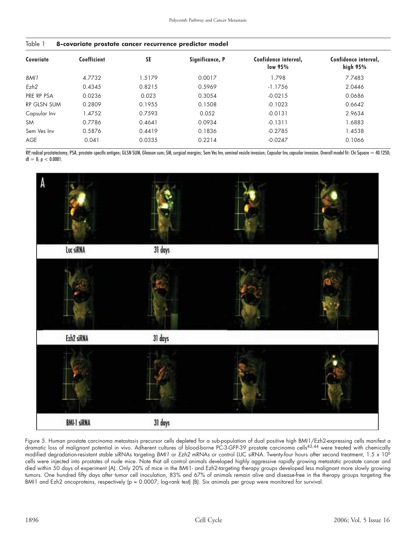| Table 1 | 8-covariate prostate cancer recurrence predictor model |  |  |  |
|---------|--------------------------------------------------------|--|--|--|
|         |                                                        |  |  |  |

| Covariate    | Coefficient | <b>SE</b> | Significance, P | Confidence interval,<br>low 95% | Confidence interval,<br>high $95%$ |
|--------------|-------------|-----------|-----------------|---------------------------------|------------------------------------|
| BMI1         | 4.7732      | 1.5179    | 0.0017          | 1.798                           | 7.7483                             |
| Ezh2         | 0.4345      | 0.8215    | 0.5969          | $-1.1756$                       | 2.0446                             |
| PRE RP PSA   | 0.0236      | 0.023     | 0.3054          | $-0.0215$                       | 0.0686                             |
| RP GLSN SUM  | 0.2809      | 0.1955    | 0.1508          | $-0.1023$                       | 0.6642                             |
| Capsular Inv | 1.4752      | 0.7593    | 0.052           | $-0.0131$                       | 2.9634                             |
| <b>SM</b>    | 0.7786      | 0.4641    | 0.0934          | $-0.1311$                       | 1.6883                             |
| Sem Ves Inv  | 0.5876      | 0.4419    | 0.1836          | $-0.2785$                       | 1.4538                             |
| <b>AGE</b>   | 0.041       | 0.0335    | 0.2214          | $-0.0247$                       | 0.1066                             |

RP, radical prostatectomy; PSA, prostate-specific antigen; GLSN SUM, Gleason sum; SM, surgical margins; Sem Ves Inv, seminal vesicle invasion; Capsular Inv, capsular invasion. Overall model fit: Chi Square = 40.1250;  $df = 8; p < 0.0001.$ 



Figure 5. Human prostate carcinoma metastasis precursor cells depleted for a sub-population of dual positive high BMI1/Ezh2-expressing cells manifest a dramatic loss of malignant potential in vivo. Adherent cultures of blood-borne PC-3-GFP-39 prostate carcinoma cells43,44 were treated with chemically modified degradation-resistant stable siRNAs targeting BMI1 or Ezh2 mRNAs or control LUC siRNA. Twenty-four hours after second treatment, 1.5 x 10<sup>6</sup> cells were injected into prostates of nude mice. Note that all control animals developed highly aggressive rapidly growing metastatic prostate cancer and died within 50 days of experiment (A). Only 20% of mice in the BMI1- and Ezh2-targeting therapy groups developed less malignant more slowly growing tumors. One hundred fifty days after tumor cell inoculation, 83% and 67% of animals remain alive and disease-free in the therapy groups targeting the BMI1 and Ezh2 oncoproteins, respectively (p = 0.0007; log-rank test) (B). Six animals per group were monitored for survival.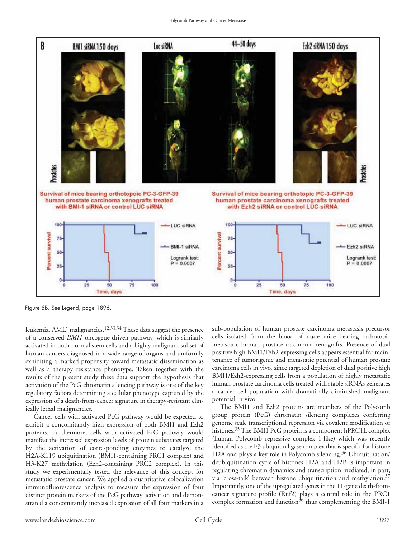

Figure 5B. See Legend, page 1896.

leukemia, AML) malignancies.12,33,34 These data suggest the presence of a conserved *BMI1* oncogene-driven pathway, which is similarly activated in both normal stem cells and a highly malignant subset of human cancers diagnosed in a wide range of organs and uniformly exhibiting a marked propensity toward metastatic dissemination as well as a therapy resistance phenotype. Taken together with the results of the present study these data support the hypothesis that activation of the PcG chromatin silencing pathway is one of the key regulatory factors determining a cellular phenotype captured by the expression of a death-from-cancer signature in therapy-resistant clinically lethal malignancies.

Cancer cells with activated PcG pathway would be expected to exhibit a concomitantly high expression of both BMI1 and Ezh2 proteins. Furthermore, cells with activated PcG pathway would manifest the increased expression levels of protein substrates targeted by the activation of corresponding enzymes to catalyze the H2A-K119 ubiquitination (BMI1-containing PRC1 complex) and H3-K27 methylation (Ezh2-containing PRC2 complex). In this study we experimentally tested the relevance of this concept for metastatic prostate cancer. We applied a quantitative colocalization immunofluorescence analysis to measure the expression of four distinct protein markers of the PcG pathway activation and demonstrated a concomitantly increased expression of all four markers in a

sub-population of human prostate carcinoma metastasis precursor cells isolated from the blood of nude mice bearing orthotopic metastatic human prostate carcinoma xenografts. Presence of dual positive high BMI1/Ezh2-expressing cells appears essential for maintenance of tumorigenic and metastatic potential of human prostate carcinoma cells in vivo, since targeted depletion of dual positive high BMI1/Ezh2-expressing cells from a population of highly metastatic human prostate carcinoma cells treated with stable siRNAs generates a cancer cell population with dramatically diminished malignant potential in vivo.

The BMI1 and Ezh2 proteins are members of the Polycomb group protein (PcG) chromatin silencing complexes conferring genome scale transcriptional repression via covalent modification of histones.<sup>35</sup> The BMI1 PcG protein is a component hPRC1L complex (human Polycomb repressive complex 1-like) which was recently identified as the E3 ubiquitin ligase complex that is specific for histone H2A and plays a key role in Polycomb silencing.<sup>36</sup> Ubiquitination/ deubiquitination cycle of histones H2A and H2B is important in regulating chromatin dynamics and transcription mediated, in part, via 'cross-talk' between histone ubiquitination and methylation.37 Importantly, one of the upregulated genes in the 11-gene death-fromcancer signature profile (Rnf2) plays a central role in the PRC1 complex formation and function<sup>36</sup> thus complementing the BMI-1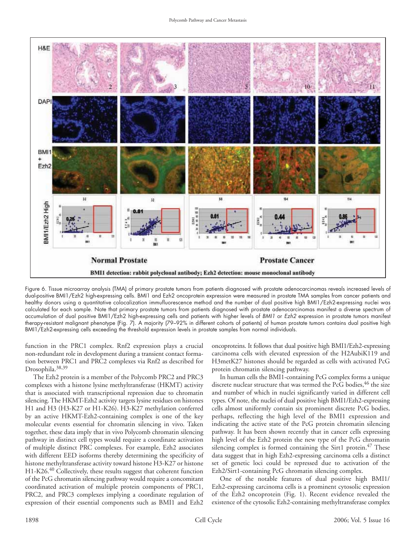

Figure 6. Tissue microarray analysis (TMA) of primary prostate tumors from patients diagnosed with prostate adenocarcinomas reveals increased levels of dual-positive BMI1/Ezh2 high-expressing cells. BMI1 and Ezh2 oncoprotein expression were measured in prostate TMA samples from cancer patients and healthy donors using a quantitative colocalization immufluorescence method and the number of dual positive high BMI1/Ezh2-expressing nuclei was calculated for each sample. Note that primary prostate tumors from patients diagnosed with prostate adenocarcinomas manifest a diverse spectrum of accumulation of dual positive BMI1/Ezh2 high-expressing cells and patients with higher levels of BMI1 or Ezh2 expression in prostate tumors manifest therapy-resistant malignant phenotype (Fig. 7). A majority (79–92% in different cohorts of patients) of human prostate tumors contains dual positive high BMI1/Ezh2-expressing cells exceeding the threshold expression levels in prostate samples from normal individuals.

function in the PRC1 complex. Rnf2 expression plays a crucial non-redundant role in development during a transient contact formation between PRC1 and PRC2 complexes via Rnf2 as described for Drosophila.<sup>38,39</sup>

The Ezh2 protein is a member of the Polycomb PRC2 and PRC3 complexes with a histone lysine methyltransferase (HKMT) activity that is associated with transcriptional repression due to chromatin silencing. The HKMT-Ezh2 activity targets lysine residues on histones H1 and H3 (H3-K27 or H1-K26). H3-K27 methylation conferred by an active HKMT-Ezh2-containing complex is one of the key molecular events essential for chromatin silencing in vivo. Taken together, these data imply that in vivo Polycomb chromatin silencing pathway in distinct cell types would require a coordinate activation of multiple distinct PRC complexes. For example, Ezh2 associates with different EED isoforms thereby determining the specificity of histone methyltransferase activity toward histone H3-K27 or histone H1-K26.<sup>40</sup> Collectively, these results suggest that coherent function of the PcG chromatin silencing pathway would require a concomitant coordinated activation of multiple protein components of PRC1, PRC2, and PRC3 complexes implying a coordinate regulation of expression of their essential components such as BMI1 and Ezh2

oncoproteins. It follows that dual positive high BMI1/Ezh2-expressing carcinoma cells with elevated expression of the H2AubiK119 and H3metK27 histones should be regarded as cells with activated PcG protein chromatin silencing pathway.

In human cells the BMI1-containing PcG complex forms a unique discrete nuclear structure that was termed the PcG bodies, <sup>46</sup> the size and number of which in nuclei significantly varied in different cell types. Of note, the nuclei of dual positive high BMI1/Ezh2-expressing cells almost uniformly contain six prominent discrete PcG bodies, perhaps, reflecting the high level of the BMI1 expression and indicating the active state of the PcG protein chromatin silencing pathway. It has been shown recently that in cancer cells expressing high level of the Ezh2 protein the new type of the PcG chromatin silencing complex is formed containing the Sirt1 protein. $47$  These data suggest that in high Ezh2-expressing carcinoma cells a distinct set of genetic loci could be repressed due to activation of the Ezh2/Sirt1-containing PcG chromatin silencing complex.

One of the notable features of dual positive high BMI1/ Ezh2-expressing carcinoma cells is a prominent cytosolic expression of the Ezh2 oncoprotein (Fig. 1). Recent evidence revealed the existence of the cytosolic Ezh2-containing methyltransferase complex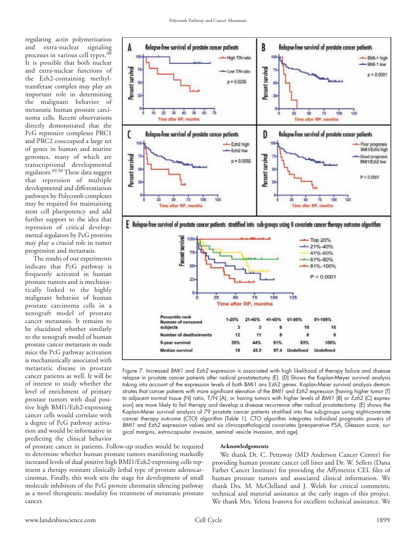regulating actin polymerization and extra-nuclear signaling processes in various cell types.<sup>48</sup> It is possible that both nuclear and extra-nuclear functions of the Ezh2-containing methyltransferase complex may play an important role in determining the malignant behavior of metastatic human prostate carcinoma cells. Recent observations directly demonstrated that the PcG repressive complexes PRC1 and PRC2 cooccupied a large set of genes in human and murine genomes, many of which are transcriptional developmental regulators.49,50 These data suggest that repression of multiple developmental and differentiation pathways by Polycomb complexes may be required for maintaining stem cell pluripotency and add further support to the idea that repression of critical developmental regulators by PcG proteins may play a crucial role in tumor progression and metastasis.

The results of our experiments indicate that PcG pathway is frequently activated in human prostate tumors and is mechanistically linked to the highly malignant behavior of human prostate carcinoma cells in a xenograft model of prostate cancer metastasis. It remains to be elucidated whether similarly to the xenograft model of human prostate cancer metastasis in nude mice the PcG pathway activation is mechanistically associated with metastatic disease in prostate cancer patients as well. It will be of interest to study whether the level of enrichment of primary prostate tumors with dual positive high BMI1/Ezh2-expressing cancer cells would correlate with a degree of PcG pathway activation and would be informative in predicting the clinical behavior





Figure 7. Increased BMI1 and Ezh2 expression is associated with high likelihood of therapy failure and disease relapse in prostate cancer patients after radical prostatectomy (E). (D) Shows the Kaplan-Meyer survival analysis taking into account of the expression levels of both BMI1 ans Ezh2 genes. Kaplan-Meier survival analysis demonstrates that cancer patients with more significant elevation of the BMI1 and Ezh2 expression [having higher tumor (T) to adjacent normal tissue (N) ratio, T/N (A); or having tumors with higher levels of BMI1 (B) or Ezh2 (C) expression] are more likely to fail therapy and develop a disease recurrence after radical prostatectomy. (E) shows the Kaplan-Meier survival analysis of 79 prostate cancer patients stratified into five sub-groups using eight-covariate cancer therapy outcome (CTO) algorithm (Table 1). CTO algorithm integrates individual prognostic powers of BMI1 and Ezh2 expression values and six clinicopathological covariates (preoperative PSA, Gleason score, surgical margins, extra-capsular invasion, seminal vesicle invasion, and age).

of prostate cancer in patients. Follow-up studies would be required to determine whether human prostate tumors manifesting markedly increased levels of dual positive high BMI1/Ezh2-expressing cells represent a therapy resistant clinically lethal type of prostate adenocarcinomas. Finally, this work sets the stage for development of small molecule inhibitors of the PcG protein chromatin silencing pathway as a novel therapeutic modality for treatment of metastatic prostate cancer.

#### **Acknowledgements**

We thank Dr. C. Pettaway (MD Anderson Cancer Center) for providing human prostate cancer cell lines and Dr. W. Sellers (Dana Farber Cancer Institute) for providing the Affymetrix CEL files of human prostate tumors and associated clinical information. We thank Drs. M. McClelland and J. Welsh for critical comments, technical and material assistance at the early stages of this project. We thank Mrs. Yelena Ivanova for excellent technical assistance. We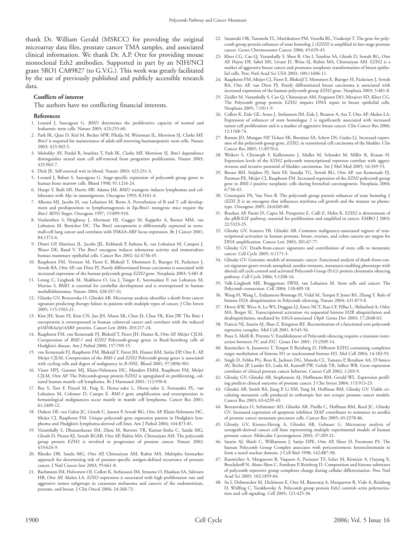thank Dr. William Gerald (MSKCC) for providing the original microarray data files, prostate cancer TMA samples, and associated clinical information. We thank Dr. A.P. Otte for providing mouse monoclonal Ezh2 antibodies. Supported in part by an NIH/NCI grant 5RO1 CA89827 (to G.V.G.). This work was greatly facilitated by the use of previously published and publicly accessible research data.

#### **Conflicts of interest**

The authors have no conflicting financial interests.

#### **References**

- 1. Lessard J, Sauvageau G. *BMI1* determines the proliferative capacity of normal and leukaemic stem cells. Nature 2003; 423:255-60.
- 2. Park IK, Qian D, Kiel M, Becker MW, Pihalja M, Weissman IL, Morrison SJ, Clarke MF. *Bmi1* is required for maintenance of adult self-renewing haematopoietic stem cells. Nature 2003; 423:302-5.
- 3. Molofsky AV, Pardal R, Iwashita T, Park IK, Clarke MF, Morrison SJ. *Bmi1* dependence distinguishes neural stem cell self-renewal from progenitor proliferation. Nature 2003; 425:962-7.
- 4. Dick JE. Self-renewal writ in blood. Nature 2003; 423:231-3.
- 5. Lessard J, Baban S, Sauvageau G. Stage-specific expression of polycomb group genes in human bone marrow cells. Blood 1998; 91:1216-24.
- 6. Haupt Y, Bath MI, Harris AW, Adams JM. *BMI1* transgene induces lymphomas and collaborates with *Myc* in tumorigenesis. Oncogene 1993; 8:3161-4.
- 7. Alkema MJ, Jacobs H, van Lohuizen M, Berns A. Perturbation of B and T cell development and predisposition to lymphomagenesis in Eμ-Bmi1 transgenic mice require the *Bmi1 RING* finger. Oncogene 1997; 15:899-910.
- 8. Vonlanthen S, Heighway J, Altermatt HJ, Gugger M, Kappeler A, Borner MM, van Lohuizen M, Betticher DC. The Bmi1 oncoprotein is differentially expressed in nonsmall-cell lung cancer and correlates with INK4A-ARF locus expression. Br J Cancer 2001; 84:1372-6.
- 9. Dimri GP, Martinez JL, Jacobs JJL, Keblusek P, Itahana K, van Lohuizen M, Campisi J, Wazer DE, Band V. The *Bmi1* oncogene induces telomerase activity and immortalizes human mammary epithelial cells. Cancer Res 2002; 62:4736-45.
- 10. Raaphorst FM, Vermeer M, Fieret E, Blokzijl T, Mommers E, Buerger H, Packeisen J, Sewalt RA, Otte AP, van Diset PJ. Poorly differentiated breast carcinoma is associated with increased expression of the human polycomb group *EZH2* gene. Neoplasia 2003; 5:481-8.
- 11. Leung C, Lingbeek M, Shakhova O, Liu J, Tanger E, Saremaslani P, van Lohuizen M, Marino S. BMI1 is essential for cerebellar development and is overexpressed in human medulloblastomas. Nature 2004; 428:337-41.
- 12. Glinsky GV, Berezovska O, Glinskii AB. Microarray analysis identifies a death from cancer signature predicting therapy failure in patients with multiple types of cancer. J Clin Invest 2005; 115:1503-21.
- 13. Kim JH, Yoon SY, Kim CN, Joo JH, Moon SK, Choe JS, Choe YK, Kim JW. The Bmi-1 oncoprotein is overexpressed in human colorectal cancer and correlates with the reduced p16INK4a/p14ARF proteins. Cancer Lett 2004; 203:217-24.
- 14. Raaphorst FM, van Kemenade FJ, Blokzijl T, Fieret JH, Hamer K, Otte AP, Meijer CJLM. Coexpression of *BMI-1* and *EZH2* Polycomb-group genes in Reed-Sternberg cells of Hodgkin's disease. Am J Pathol 2000; 157:709-15.
- 15. van Kemenade FJ, Raaphorst FM, Blokzijl T, Fieret JH, Hamer KM, Satijn DP, Otte E, AP, Meijer CJLM. Coexpression of the *BMI-1* and *EZH2* Polycomb-group genes is associated with cycling cells and degree of malignancy in *B-NHL*. Blood 2001; 97:3896-901.
- 16. Visser HPJ, Gunster MJ, Kluin-Nelemans HC, Manders EMM, Raaphorst FM, Meijer CJLM, Otte AP. The Polycomb-group protein EZH2 is upregulated in proliferating, cultured human mantle cell lymphoma. Br J Haematol 2001; 112:950-8.
- 17. Bea S, Tort F, Pinyol M, Puig X, Herna´ndez L, Herna´ndez S, Fernandez PL, van Lohuizen M, Colomer D, Campo E. *BMI-1* gene amplification and overexpression in hematological malignancies occur mainly in mantle cell lymphoma. Cancer Res 2001; 61:2409-12.
- 18. Dukers DF, van Galen JC, Giroth C, Jansen P, Sewalt RG, Otte AP, Kluin-Nelemans HC, Meijer CJ, Raaphorst FM. Unique polycomb gene expression pattern in Hodgkin's lymphoma and Hodgkin's lymphoma-derived cell lines. Am J Pathol 2004; 164:873-81.
- 19. Varambally S, Dhanasekaran SM, Zhou M, Barrette TR, Kumar-Sinha C, Sanda MG, Ghosh D, Pienta KJ, Sewalt RGAB, Otte AP, Rubin MA, Chinnaiyan AM. The polycomb group protein EZH2 is involved in progression of prostate cancer. Nature 2002; 419:624-9.
- 20. Rhodes DR, Sanda MG, Otte AP, Chinnaiyan AM, Rubin MA. Multiplex biomarker approach for determining risk of prostate-specific antigen-defined recurrence of prostate cancer. J Natl Cancer Inst 2003; 95:661-8.
- 21. Bachmann IM, Halvorsen OJ, Collett K, Stefansson IM, Straume O, Haukaas SA, Salvesen HB, Otte AP, Akslen LA. *EZH2* expression is associated with high proliferation rate and aggressive tumor subgroups in cutaneous melanoma and cancers of the endometrium, prostate, and breast. J Clin Oncol 2006; 24:268-73.
- 22. Saramaki OR, Tammela TL, Martikainen PM, Vessella RL, Visakorpi T. The gene for polycomb group protein enhancer of zeste homolog 2 (*EZH2*) is amplified in late-stage prostate cancer. Genes Chromosomes Cancer 2006; 45:639-45.
- 23. Kleer CG, Cao Q, Varambally S, Shen R, Ota I, Tomlins SA, Ghosh D, Sewalt RG, Otte AP, Hayes DF, Sabel MS, Livant D, Weiss SJ, Rubin MA, Chinnaiyan AM. EZH2 is a marker of aggressive breast cancer and promotes neoplastic transformation of breast epithelial cells. Proc Natl Acad Sci USA 2003; 100:11606-11.
- 24. Raaphorst FM, Meijer CJ, Fieret E, Blokzijl T, Mommers E, Buerger H, Packeisen J, Sewalt RA, Otte AP, van Diest PJ. Poorly differentiated breast carcinoma is associated with increased expression of the human polycomb group *EZH2* gene. Neoplasia 2003; 5:481-8.
- 25. Zeidler M, Varambally S, Cao Q, Chinnaiyan AM, Ferguson DO, Merajver SD, Kleer CG. The Polycomb group protein EZH2 impairs DNA repair in breast epithelial cells. Neoplasia 2005; 7:1011-9.
- 26. Collett K, Eide GE, Arnes J, Stefansson IM, Eide J, Braaten A, Aas T, Otte AP, Akslen LA. Expression of enhancer of zeste homologue 2 is significantly associated with increased tumor cell proliferation and is a marker of aggressive breast cancer. Clin Cancer Res 2006; 12:1168-74.
- 27. Raman JD, Mongan NP, Tickoo SK, Boorjian SA, Scherr DS, Gudas LJ. Increased expression of the polycomb group gene, *EZH2*, in transitional cell carcinoma of the bladder. Clin Cancer Res 2005; 11:8570-6.
- 28. Weikert S, Christoph F, Kollermann J, Muller M, Schrader M, Miller K, Krause H. Expression levels of the EZH2 polycomb transcriptional repressor correlate with aggressiveness and invasive potential of bladder carcinomas. Int J Mol Med 2005; 16:349-53.
- 29. Breuer RH, Snijders PJ, Smit EF, Sutedja TG, Sewalt RG, Otte AP, van Kemenade FJ, Postmus PE, Meijer CJ, Raaphorst FM. Increased expression of the *EZH2* polycomb group gene in *BMI-1*-positive neoplastic cells during bronchial carcinogenesis. Neoplasia 2004; 6:736-43.
- 30. Croonquist PA, Van Ness B. The polycomb group protein enhancer of zeste homolog 2 (*EZH 2*) is an oncogene that influences myeloma cell growth and the mutant *ras* phenotype. Oncogene 2005; 24:6269-80.
- 31. Bracken AP, Pasini D, Capra M, Prosperini E, Colli E, Helin K. EZH2 is downstream of the pRB-E2F pathway, essential for proliferation and amplified in cancer. EMBO J 2003; 22:5323-35.
- 32. Glinsky GV, Ivanova YB, Glinskii AB. Common malignancy-associated regions of transcriptional activation in human prostate, breast, ovarian, and colon cancers are targets for DNA amplification. Cancer Lett 2003; 201:67-77.
- 33. Glinsky GV. Death-from-cancer signatures and contribution of stem cells to metastatic cancer. Cell Cycle 2005; 4:1171-5.
- 34. Glinsky GV. Genomic models of metastatic cancer: Functional analysis of death-from-cancer signature genes reveals aneuploid, anoikis-resistant, metastasis-enabling phenotype with altered cell cycle control and activated Polycomb Group (PcG) protein chromatin silencing pathway. Cell Cycle 2006; 5:1208-16.
- 35. Valk-Lingbeek ME, Bruggeman SWM, van Lohuizen M. Stem cells and cancer: The Polycomb connection. Cell 2004; 118:409-18.
- 36. Wang H, Wang L, Erdjument-Bromage H, Vidal M, Tempst P, Jones RS, Zhang Y. Role of histone H2A ubiquitination in Polycomb silencing. Nature 2004; 431:873-8.
- 37. Henry KW, Wyce A, Lo WS, Duggan LJ, Emre NCT, Kao CF, Pillus L, Shilatifard A, Osley MA, Berger SL. Transcriptional activation via sequential histone H2B ubiquitylation and deubiquitylation, mediated by *SAGA*-associated *Ubp8*. Genes Dev 2003; 17:2648-63.
- 38. Francis NJ, Saurin AJ, Shao Z, Kingston RE. Reconstitution of a functional core polycomb repressive complex. Mol Cell 2001; 8:545-56.
- 39. Poux S, Melfi R, Pirrotta V. Establishment of Polycomb silencing requires a transient interaction between *PC* and *ESC*. Genes Dev 2001; 15:2509-14.
- 40. Kuzmichev A, Jenuwein T, Tempst P, Reinberg D. Different EZH2-containing complexes target methylation of histone H1 or nucleosomal histone H3. Mol Cell 2004; 14:183-93.
- 41. Singh D, Febbo PG, Ross K, Jackson DG, Manola CL, Tamayo P, Renshaw AA, D'Amico AV, Richie JP, Lander ES, Loda M, Kantoff PW, Golub TR, Sellers WR. Gene expression correlates of clinical prostate cancer behavior. Cancer Cell 2002; 1:203-9.
- 42. Glinsky GV, Glinskii AB, Stephenson AJ, Hoffmann RM, Gerald WL. Expression profiling predicts clinical outcome of prostate cancer. J Clin Invest 2004; 113:913-23.
- 43. Glinskii AB, Smith BA, Jiang P, Li XM, Yang M, Hoffman RM, Glinsky GV. Viable circulating metastatic cells produced in orthotopic but not ectopic prostate cancer models. Cancer Res 2003; 63:4239-43.
- 44. Berezovskaya O, Schimmer AD, Glinskii AB, Pinilla C, Hoffman RM, Reed JC, Glinsky GV. Increased expression of apoptosis inhibitor XIAP contributes to resistance to anoikis of prostate cancer metastasis precursor cells. Cancer Res 2005; 65:2378-86.
- 45. Glinsky GV, Krones-Herzig A, Glinskii AB, Gebauer G. Microarray analysis of xenograft-derived cancer cell lines representing multiple experimental models of human prostate cancer. Molecular Carcinogenesis 2003; 37:209-21.
- 46. Saurin AJ, Shiels C, Williamson J, Satijn DPE, Otte AP, Sheer D, Freemont PS. The human Polycomb Group Complex associates with pericentromeric heterochromatin to form a novel nuclear domain. J Cell Biol 1998; 142:887-98.
- 47. Kuzmichev A, Margueron R, Vaquero A, Preissner TS, Scher M, Kirmizis A, Ouyang X, Brockdorff N, Abate-Shen C, Farnham P, Reinberg D. Composition and histone substrates of polycomb repressive group complexes change during cellular differentiation. Proc Natl Acad Sci 2005; 102:1859-64.
- 48. Su I, Dobenecker M, Dickinson E, Oser M, Basavaraj A, Marqueron R, Viale A, Reinberg D, Wülfing C, Tarakhovsky A. Polycomb group protein Ezh2 controls actin polymerization and cell signaling. Cell 2005; 121:425-36.